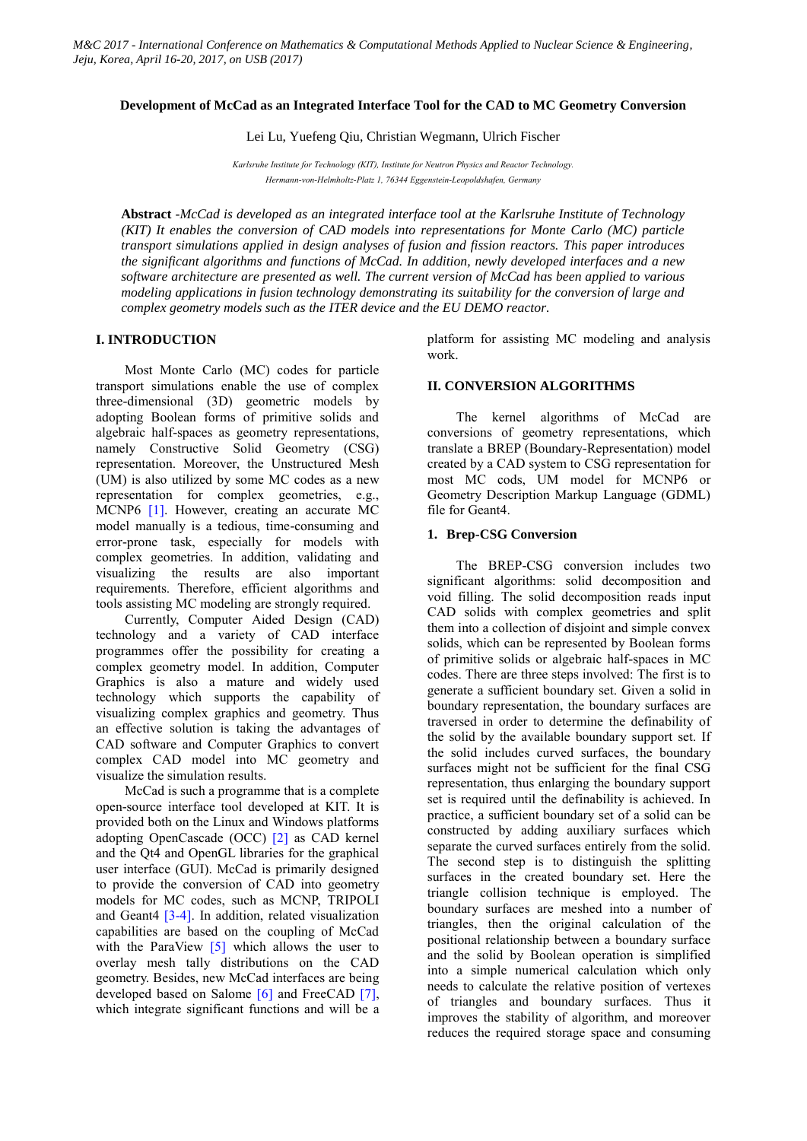#### **Development of McCad as an Integrated Interface Tool for the CAD to MC Geometry Conversion**

Lei Lu, Yuefeng Qiu, Christian Wegmann, Ulrich Fischer

*Karlsruhe Institute for Technology (KIT), Institute for Neutron Physics and Reactor Technology. Hermann-von-Helmholtz-Platz 1, 76344 Eggenstein-Leopoldshafen, Germany*

**Abstract** *-McCad is developed as an integrated interface tool at the Karlsruhe Institute of Technology (KIT) It enables the conversion of CAD models into representations for Monte Carlo (MC) particle transport simulations applied in design analyses of fusion and fission reactors. This paper introduces the significant algorithms and functions of McCad. In addition, newly developed interfaces and a new software architecture are presented as well. The current version of McCad has been applied to various modeling applications in fusion technology demonstrating its suitability for the conversion of large and complex geometry models such as the ITER device and the EU DEMO reactor.*

### **I. INTRODUCTION**

Most Monte Carlo (MC) codes for particle transport simulations enable the use of complex three-dimensional (3D) geometric models by adopting Boolean forms of primitive solids and algebraic half-spaces as geometry representations, namely Constructive Solid Geometry (CSG) representation. Moreover, the Unstructured Mesh (UM) is also utilized by some MC codes as a new representation for complex geometries, e.g., MCNP6 [1]. However, creating an accurate MC model manually is a tedious, time-consuming and error-prone task, especially for models with complex geometries. In addition, validating and visualizing the results are also important requirements. Therefore, efficient algorithms and tools assisting MC modeling are strongly required.

Currently, Computer Aided Design (CAD) technology and a variety of CAD interface programmes offer the possibility for creating a complex geometry model. In addition, Computer Graphics is also a mature and widely used technology which supports the capability of visualizing complex graphics and geometry. Thus an effective solution is taking the advantages of CAD software and Computer Graphics to convert complex CAD model into MC geometry and visualize the simulation results.

McCad is such a programme that is a complete open-source interface tool developed at KIT. It is provided both on the Linux and Windows platforms adopting OpenCascade (OCC) [2] as CAD kernel and the Qt4 and OpenGL libraries for the graphical user interface (GUI). McCad is primarily designed to provide the conversion of CAD into geometry models for MC codes, such as MCNP, TRIPOLI and Geant4 [3-4]. In addition, related visualization capabilities are based on the coupling of McCad with the ParaView [5] which allows the user to overlay mesh tally distributions on the CAD geometry. Besides, new McCad interfaces are being developed based on Salome [6] and FreeCAD [7], which integrate significant functions and will be a platform for assisting MC modeling and analysis work.

### **II. CONVERSION ALGORITHMS**

The kernel algorithms of McCad are conversions of geometry representations, which translate a BREP (Boundary-Representation) model created by a CAD system to CSG representation for most MC cods, UM model for MCNP6 or Geometry Description Markup Language (GDML) file for Geant4.

#### **1. Brep-CSG Conversion**

The BREP-CSG conversion includes two significant algorithms: solid decomposition and void filling. The solid decomposition reads input CAD solids with complex geometries and split them into a collection of disjoint and simple convex solids, which can be represented by Boolean forms of primitive solids or algebraic half-spaces in MC codes. There are three steps involved: The first is to generate a sufficient boundary set. Given a solid in boundary representation, the boundary surfaces are traversed in order to determine the definability of the solid by the available boundary support set. If the solid includes curved surfaces, the boundary surfaces might not be sufficient for the final CSG representation, thus enlarging the boundary support set is required until the definability is achieved. In practice, a sufficient boundary set of a solid can be constructed by adding auxiliary surfaces which separate the curved surfaces entirely from the solid. The second step is to distinguish the splitting surfaces in the created boundary set. Here the triangle collision technique is employed. The boundary surfaces are meshed into a number of triangles, then the original calculation of the positional relationship between a boundary surface and the solid by Boolean operation is simplified into a simple numerical calculation which only needs to calculate the relative position of vertexes of triangles and boundary surfaces. Thus it improves the stability of algorithm, and moreover reduces the required storage space and consuming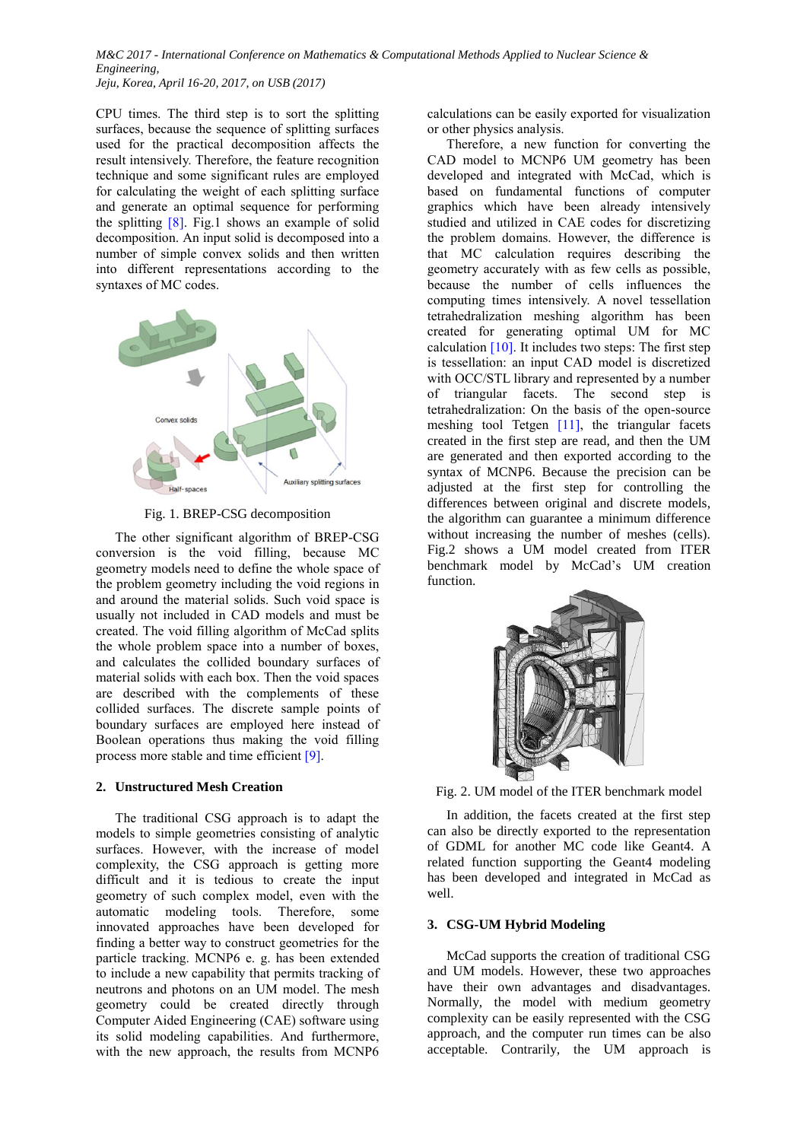CPU times. The third step is to sort the splitting surfaces, because the sequence of splitting surfaces used for the practical decomposition affects the result intensively. Therefore, the feature recognition technique and some significant rules are employed for calculating the weight of each splitting surface and generate an optimal sequence for performing the splitting  $[8]$ . Fig.1 shows an example of solid decomposition. An input solid is decomposed into a number of simple convex solids and then written into different representations according to the syntaxes of MC codes.



Fig. 1. BREP-CSG decomposition

The other significant algorithm of BREP-CSG conversion is the void filling, because MC geometry models need to define the whole space of the problem geometry including the void regions in and around the material solids. Such void space is usually not included in CAD models and must be created. The void filling algorithm of McCad splits the whole problem space into a number of boxes, and calculates the collided boundary surfaces of material solids with each box. Then the void spaces are described with the complements of these collided surfaces. The discrete sample points of boundary surfaces are employed here instead of Boolean operations thus making the void filling process more stable and time efficient [9].

# **2. Unstructured Mesh Creation**

The traditional CSG approach is to adapt the models to simple geometries consisting of analytic surfaces. However, with the increase of model complexity, the CSG approach is getting more difficult and it is tedious to create the input geometry of such complex model, even with the automatic modeling tools. Therefore, some innovated approaches have been developed for finding a better way to construct geometries for the particle tracking. MCNP6 e. g. has been extended to include a new capability that permits tracking of neutrons and photons on an UM model. The mesh geometry could be created directly through Computer Aided Engineering (CAE) software using its solid modeling capabilities. And furthermore, with the new approach, the results from MCNP6

calculations can be easily exported for visualization or other physics analysis.

Therefore, a new function for converting the CAD model to MCNP6 UM geometry has been developed and integrated with McCad, which is based on fundamental functions of computer graphics which have been already intensively studied and utilized in CAE codes for discretizing the problem domains. However, the difference is that MC calculation requires describing the geometry accurately with as few cells as possible, because the number of cells influences the computing times intensively. A novel tessellation tetrahedralization meshing algorithm has been created for generating optimal UM for MC calculation  $[10]$ . It includes two steps: The first step is tessellation: an input CAD model is discretized with OCC/STL library and represented by a number of triangular facets. The second step is tetrahedralization: On the basis of the open-source meshing tool Tetgen [11], the triangular facets created in the first step are read, and then the UM are generated and then exported according to the syntax of MCNP6. Because the precision can be adjusted at the first step for controlling the differences between original and discrete models, the algorithm can guarantee a minimum difference without increasing the number of meshes (cells). Fig.2 shows a UM model created from ITER benchmark model by McCad's UM creation function.



Fig. 2. UM model of the ITER benchmark model

In addition, the facets created at the first step can also be directly exported to the representation of GDML for another MC code like Geant4. A related function supporting the Geant4 modeling has been developed and integrated in McCad as well.

# **3. CSG-UM Hybrid Modeling**

McCad supports the creation of traditional CSG and UM models. However, these two approaches have their own advantages and disadvantages. Normally, the model with medium geometry complexity can be easily represented with the CSG approach, and the computer run times can be also acceptable. Contrarily, the UM approach is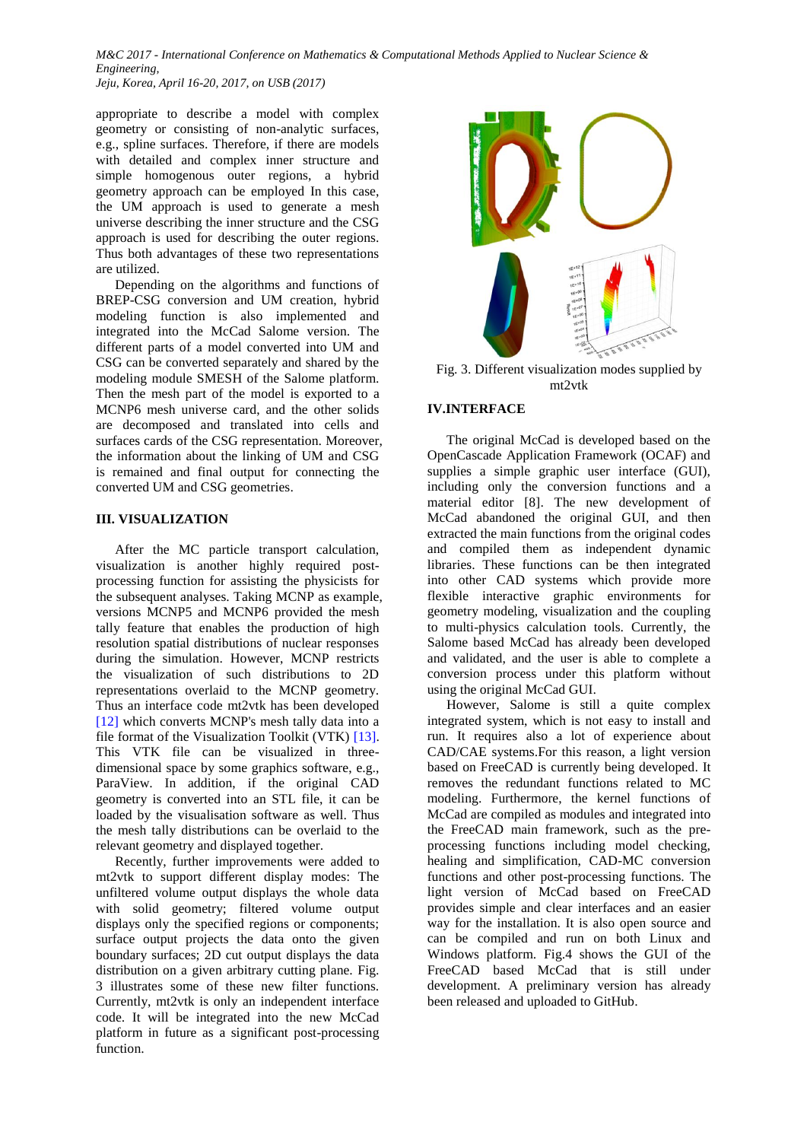*M&C 2017 - International Conference on Mathematics & Computational Methods Applied to Nuclear Science & Engineering,*

*Jeju, Korea, April 16-20, 2017, on USB (2017)*

appropriate to describe a model with complex geometry or consisting of non-analytic surfaces, e.g., spline surfaces. Therefore, if there are models with detailed and complex inner structure and simple homogenous outer regions, a hybrid geometry approach can be employed In this case, the UM approach is used to generate a mesh universe describing the inner structure and the CSG approach is used for describing the outer regions. Thus both advantages of these two representations are utilized.

Depending on the algorithms and functions of BREP-CSG conversion and UM creation, hybrid modeling function is also implemented and integrated into the McCad Salome version. The different parts of a model converted into UM and CSG can be converted separately and shared by the modeling module SMESH of the Salome platform. Then the mesh part of the model is exported to a MCNP6 mesh universe card, and the other solids are decomposed and translated into cells and surfaces cards of the CSG representation. Moreover, the information about the linking of UM and CSG is remained and final output for connecting the converted UM and CSG geometries.

# **III. VISUALIZATION**

After the MC particle transport calculation, visualization is another highly required postprocessing function for assisting the physicists for the subsequent analyses. Taking MCNP as example, versions MCNP5 and MCNP6 provided the mesh tally feature that enables the production of high resolution spatial distributions of nuclear responses during the simulation. However, MCNP restricts the visualization of such distributions to 2D representations overlaid to the MCNP geometry. Thus an interface code mt2vtk has been developed [12] which converts MCNP's mesh tally data into a file format of the Visualization Toolkit (VTK) [\[13\].](http://www.sciencedirect.com/science/article/pii/S0920379613002615?np=y&npKey=bb25f045df4f6423cc9522eed5a89e66e745d38995f866cdeab29bf0524c0eb4#bib0040) This VTK file can be visualized in threedimensional space by some graphics software, e.g., ParaView. In addition, if the original CAD geometry is converted into an STL file, it can be loaded by the visualisation software as well. Thus the mesh tally distributions can be overlaid to the relevant geometry and displayed together.

Recently, further improvements were added to mt2vtk to support different display modes: The unfiltered volume output displays the whole data with solid geometry; filtered volume output displays only the specified regions or components; surface output projects the data onto the given boundary surfaces; 2D cut output displays the data distribution on a given arbitrary cutting plane. Fig. 3 illustrates some of these new filter functions. Currently, mt2vtk is only an independent interface code. It will be integrated into the new McCad platform in future as a significant post-processing function.



Fig. 3. Different visualization modes supplied by mt2vtk

# **IV.INTERFACE**

The original McCad is developed based on the OpenCascade Application Framework (OCAF) and supplies a simple graphic user interface (GUI), including only the conversion functions and a material editor [8]. The new development of McCad abandoned the original GUI, and then extracted the main functions from the original codes and compiled them as independent dynamic libraries. These functions can be then integrated into other CAD systems which provide more flexible interactive graphic environments for geometry modeling, visualization and the coupling to multi-physics calculation tools. Currently, the Salome based McCad has already been developed and validated, and the user is able to complete a conversion process under this platform without using the original McCad GUI.

However, Salome is still a quite complex integrated system, which is not easy to install and run. It requires also a lot of experience about CAD/CAE systems.For this reason, a light version based on FreeCAD is currently being developed. It removes the redundant functions related to MC modeling. Furthermore, the kernel functions of McCad are compiled as modules and integrated into the FreeCAD main framework, such as the preprocessing functions including model checking, healing and simplification, CAD-MC conversion functions and other post-processing functions. The light version of McCad based on FreeCAD provides simple and clear interfaces and an easier way for the installation. It is also open source and can be compiled and run on both Linux and Windows platform. Fig.4 shows the GUI of the FreeCAD based McCad that is still under development. A preliminary version has already been released and uploaded to GitHub.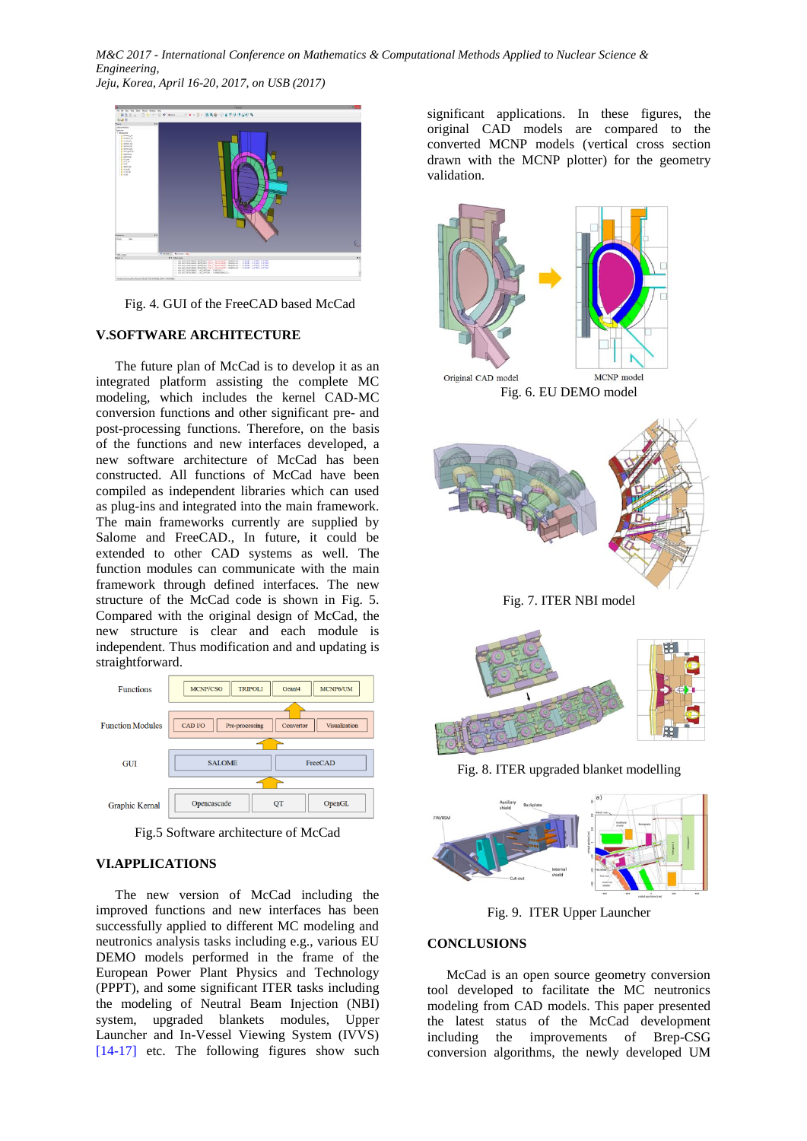*M&C 2017 - International Conference on Mathematics & Computational Methods Applied to Nuclear Science & Engineering, Jeju, Korea, April 16-20, 2017, on USB (2017)*



Fig. 4. GUI of the FreeCAD based McCad

# **V.SOFTWARE ARCHITECTURE**

The future plan of McCad is to develop it as an integrated platform assisting the complete MC modeling, which includes the kernel CAD-MC conversion functions and other significant pre- and post-processing functions. Therefore, on the basis of the functions and new interfaces developed, a new software architecture of McCad has been constructed. All functions of McCad have been compiled as independent libraries which can used as plug-ins and integrated into the main framework. The main frameworks currently are supplied by Salome and FreeCAD., In future, it could be extended to other CAD systems as well. The function modules can communicate with the main framework through defined interfaces. The new structure of the McCad code is shown in Fig. 5. Compared with the original design of McCad, the new structure is clear and each module is independent. Thus modification and and updating is straightforward.



Fig.5 Software architecture of McCad

# **VI.APPLICATIONS**

The new version of McCad including the improved functions and new interfaces has been successfully applied to different MC modeling and neutronics analysis tasks including e.g., various EU DEMO models performed in the frame of the European Power Plant Physics and Technology (PPPT), and some significant ITER tasks including the modeling of Neutral Beam Injection (NBI) system, upgraded blankets modules, Upper Launcher and In-Vessel Viewing System (IVVS) [14-17] etc. The following figures show such

significant applications. In these figures, the original CAD models are compared to the converted MCNP models (vertical cross section drawn with the MCNP plotter) for the geometry validation.





Fig. 8. ITER upgraded blanket modelling



Fig. 9. ITER Upper Launcher

# **CONCLUSIONS**

McCad is an open source geometry conversion tool developed to facilitate the MC neutronics modeling from CAD models. This paper presented the latest status of the McCad development including the improvements of Brep-CSG conversion algorithms, the newly developed UM